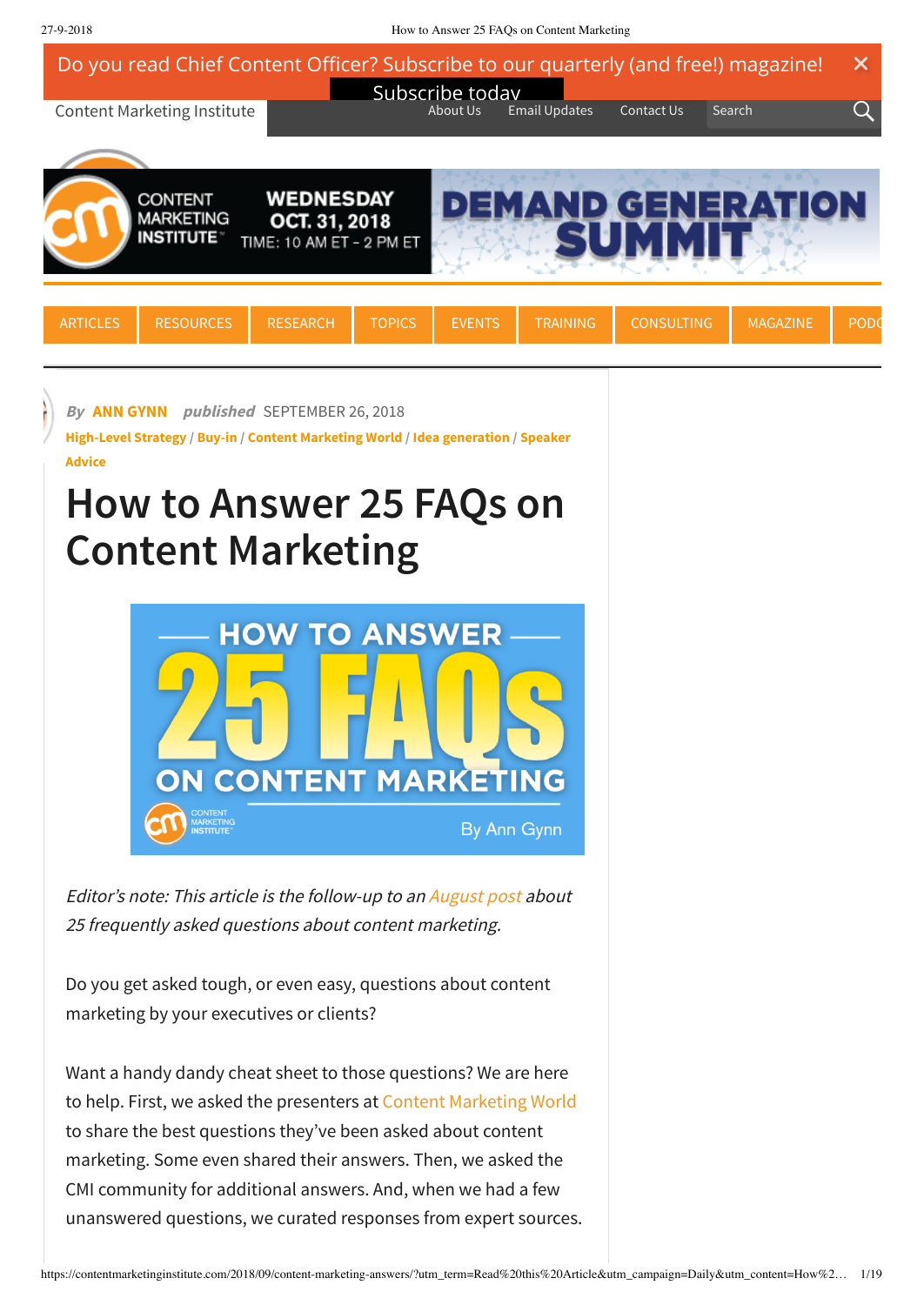27-9-2018 How to Answer 25 FAQs on Content Marketing

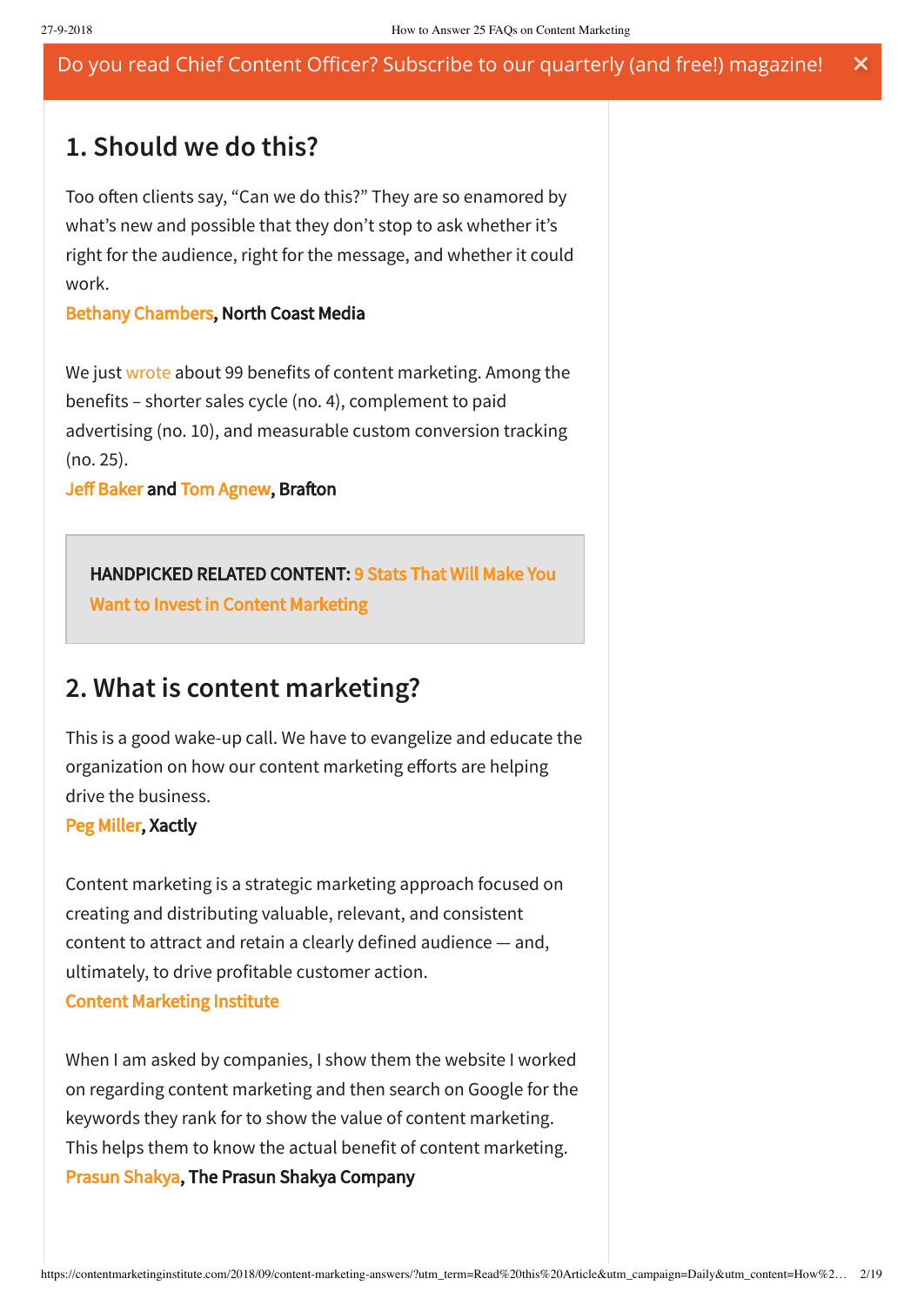### **1. Should we do this?**

Too often clients say, "Can we do this?" They are so enamored by what's new and possible that they don't stop to ask whether it's right for the audience, right for the message, and whether it could work.

### [Bethany Chambers,](http://schedule.contentmarketingworld.com/speaker/chambers-bethany/48731) North Coast Media

We just [wrote](http://bit.ly/2MD97Ik) about 99 benefits of content marketing. Among the benefits – shorter sales cycle (no. 4), complement to paid advertising (no. 10), and measurable custom conversion tracking (no. 25).

[Jeff Baker](https://twitter.com/baker_rithms) and [Tom Agnew](https://twitter.com/agnew_tom), Brafton

### [HANDPICKED RELATED CONTENT: 9 Stats That Will Make You](https://contentmarketinginstitute.com/2017/10/stats-invest-content-marketing/)

Want to Invest in Content Marketing

### **2. What is content marketing?**

This is a good wake-up call. We have to evangelize and educate the organization on how our content marketing efforts are helping drive the business.

### [Peg Miller](http://schedule.contentmarketingworld.com/speaker/miller-peg/48915), Xactly

Content marketing is a strategic marketing approach focused on creating and distributing valuable, relevant, and consistent content to attract and retain a clearly defined audience — and, ultimately, to drive profitable customer action. [Content Marketing Institute](https://contentmarketinginstitute.com/what-is-content-marketing/)

When I am asked by companies, I show them the website I worked on regarding content marketing and then search on Google for the keywords they rank for to show the value of content marketing. This helps them to know the actual benefit of content marketing. [Prasun Shakya](https://twitter.com/ThePrasunShakya), The Prasun Shakya Company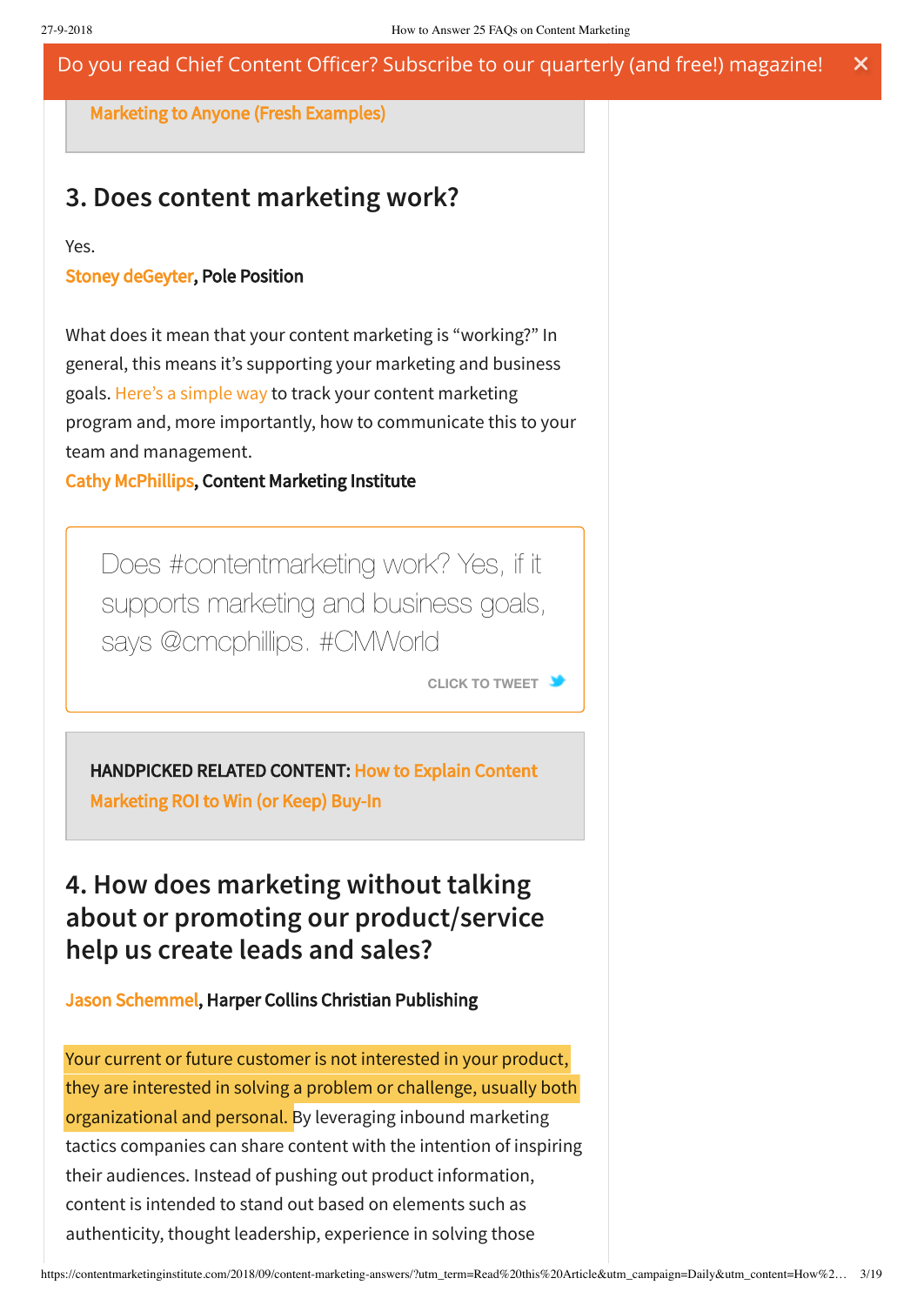[HANDPICKED RELATED CONTENT: How to Explain Content](https://contentmarketinginstitute.com/2018/09/explain-content-marketing-anyone/) Do you read Chief Content Officer? Subscribe to our quarterly (and free!) magazine!  $\boldsymbol{\mathsf{x}}$ 

Marketing to Anyone (Fresh Examples)

## **3. Does content marketing work?**

Yes.

### [Stoney deGeyter,](https://twitter.com/StoneyD) Pole Position

What does it mean that your content marketing is "working?" In general, this means it's supporting your marketing and business goals. Here's a [simple](https://contentmarketinginstitute.com/2018/09/content-marketing-effectiveness/) way to track your content marketing program and, more importantly, how to communicate this to your team and management.

### [Cathy McPhillips](http://schedule.contentmarketingworld.com/speaker/mcphillips-cathy.48100), Content Marketing Institute

Does [#contentmarketing](https://twitter.com/intent/tweet?url=https://contentmarketinginstitute.com/2018/09/content-marketing-answers/&text=Does%20%23contentmarketing%20work%3F%20Yes%2C%20if%20it%20supports%20marketing%20and%20business%20goals%2C%20says%20%40cmcphillips.%20%23CMWorld&related) work? Yes, if it supports marketing and business goals, says @cmcphillips. #CMWorld

**CLICK TO [TWEET](https://twitter.com/intent/tweet?url=https://contentmarketinginstitute.com/2018/09/content-marketing-answers/&text=Does%20%23contentmarketing%20work%3F%20Yes%2C%20if%20it%20supports%20marketing%20and%20business%20goals%2C%20says%20%40cmcphillips.%20%23CMWorld&related)**

[HANDPICKED RELATED CONTENT: How to Explain Content](https://contentmarketinginstitute.com/2018/06/explain-content-marketing-roi/) Marketing ROI to Win (or Keep) Buy-In

## **4. How does marketing without talking about or promoting our product/service help us create leads and sales?**

### [Jason Schemmel,](https://twitter.com/JasonSchemmel) Harper Collins Christian Publishing

Your current or future customer is not interested in your product, they are interested in solving a problem or challenge, usually both organizational and personal. By leveraging inbound marketing tactics companies can share content with the intention of inspiring their audiences. Instead of pushing out product information, content is intended to stand out based on elements such as authenticity, thought leadership, experience in solving those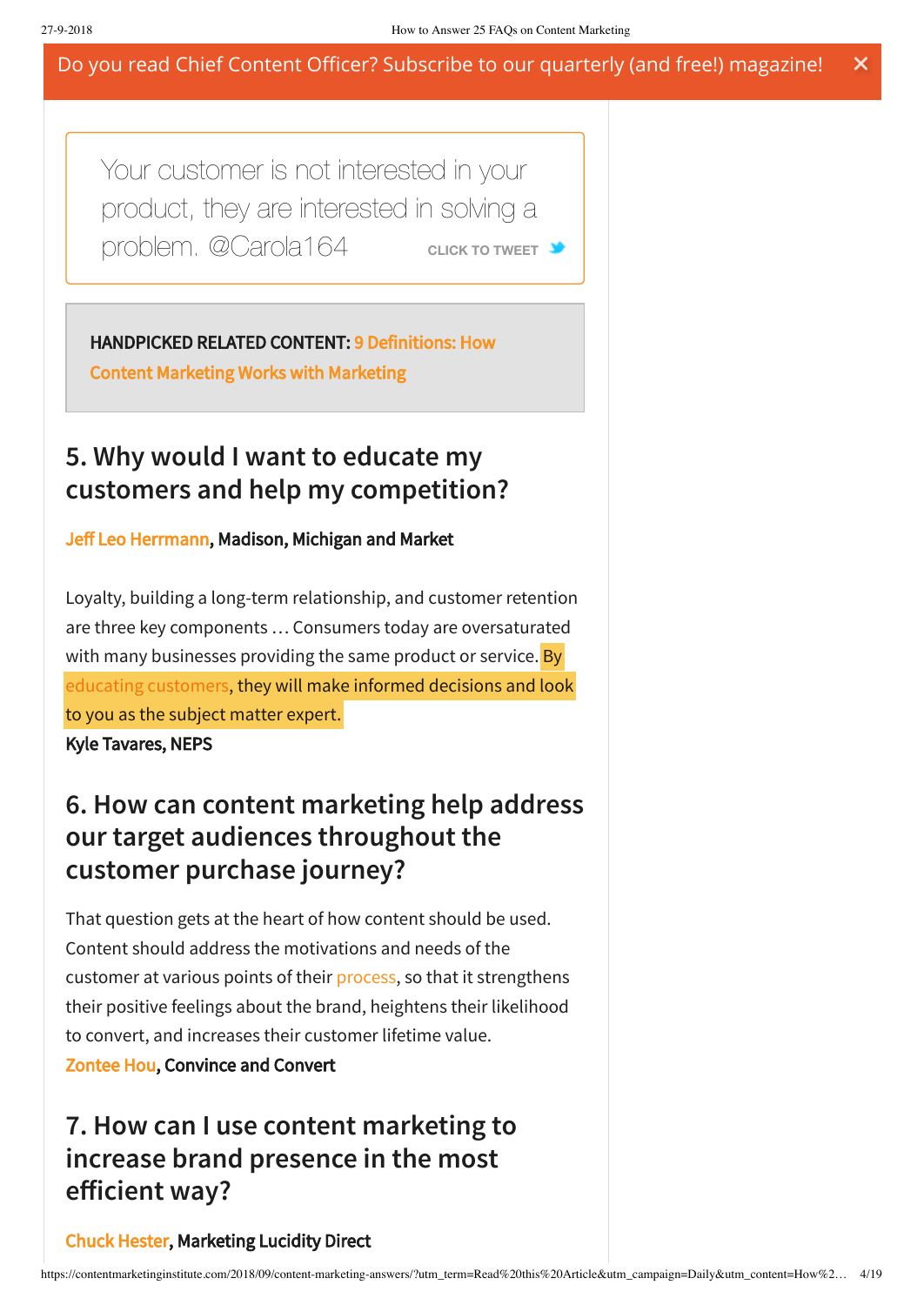Your customer is not interested in your product, they [are interested in solving](https://twitter.com/intent/tweet?url=https://contentmarketinginstitute.com/2018/09/content-marketing-answers/&text=Your%20customer%20is%20not%20interested%20in%20your%20product%2C%20they%20are%20interested%20in%20solving%20a%20problem.%20%40Carola164&related) a problem. @Carola164 **CLICK CLICK TO CLICK CLICK** 

[HANDPICKED RELATED CONTENT: 9 Definitions: How](https://contentmarketinginstitute.com/2016/11/content-marketing-definitions/)

Content Marketing Works with Marketing

## **5. Why would I want to educate my customers and help my competition?**

### [Jeff Leo Herrmann](http://schedule.contentmarketingworld.com/speaker/herrmann-jeff-leo/48557), Madison, Michigan and Market

Loyalty, building a long-term relationship, and customer retention are three key components … Consumers today are oversaturated with many businesses providing the same product or service. By educating [customers](http://neps.com/blog/2017/3-reasons-to-educate-your-customers/), they will make informed decisions and look to you as the subject matter expert.

Kyle Tavares, NEPS

## **6. How can content marketing help address our target audiences throughout the customer purchase journey?**

That question gets at the heart of how content should be used. Content should address the motivations and needs of the customer at various points of their [process](https://contentmarketinginstitute.com/2016/11/map-customer-journey-template/), so that it strengthens their positive feelings about the brand, heightens their likelihood to convert, and increases their customer lifetime value.

[Zontee Hou,](http://schedule.contentmarketingworld.com/speaker/hou-zontee/48479) Convince and Convert

## **7. How can I use content marketing to increase brand presence in the most efficient way?**

### [Chuck Hester,](https://twitter.com/chuckhester) Marketing Lucidity Direct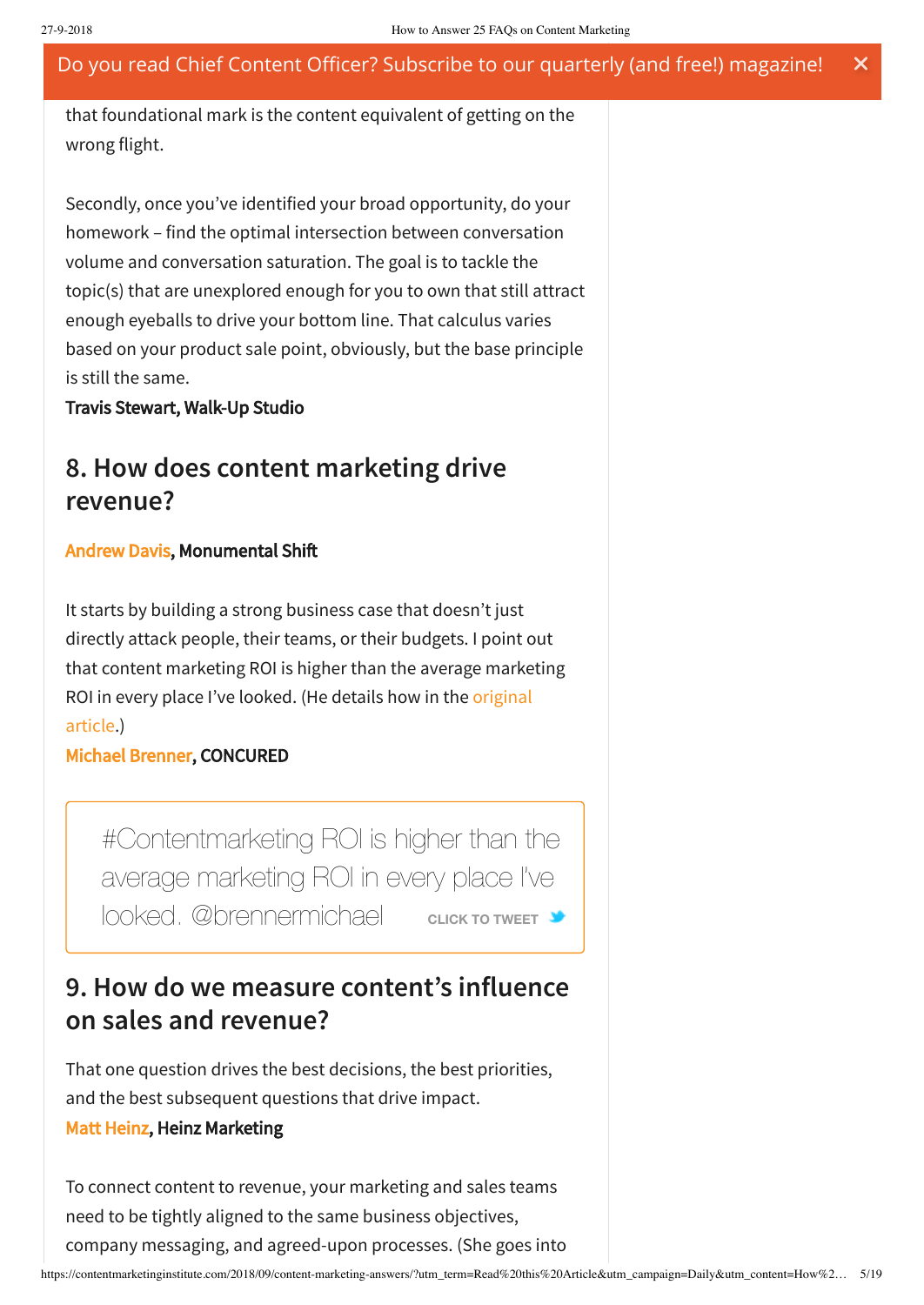that foundational mark is the content equivalent of getting on the wrong flight.

Secondly, once you've identified your broad opportunity, do your homework – find the optimal intersection between conversation volume and conversation saturation. The goal is to tackle the topic(s) that are unexplored enough for you to own that still attract enough eyeballs to drive your bottom line. That calculus varies based on your product sale point, obviously, but the base principle is still the same.

Travis Stewart, Walk-Up Studio

### **8. How does content marketing drive revenue?**

#### [Andrew Davis,](http://schedule.contentmarketingworld.com/speaker/davis-andrew/34786) Monumental Shi

It starts by building a strong business case that doesn't just directly attack people, their teams, or their budgets. I point out that content marketing ROI is higher than the average marketing ROI in [every place](https://contentmarketinginstitute.com/2016/05/secret-content-marketing-roi/) I've looked. (He details how in the original article.)

### [Michael Brenner,](https://www.twitter.com/brennermichael) CONCURED

[#Contentmarketing](https://twitter.com/intent/tweet?url=https://contentmarketinginstitute.com/2018/09/content-marketing-answers/&text=%23Contentmarketing%20ROI%20is%20higher%20than%20the%20average%20marketing%20ROI%20in%20every%20place%20I%E2%80%99ve%20looked.%20%40brennermichael&related) ROI is higher than the average marketing ROI in every place I've  $\blacksquare$ looked. @brennermichael **CLICK CLICK TO CLICK** 

## **9. How do we measure content's influence on sales and revenue?**

That one question drives the best decisions, the best priorities, and the best subsequent questions that drive impact.

#### [Matt Heinz,](http://schedule.contentmarketingworld.com/speaker/heinz-matt/48541) Heinz Marketing

To connect content to revenue, your marketing and sales teams need to be tightly aligned to the same business objectives, company messaging, and agreed-upon processes. (She goes into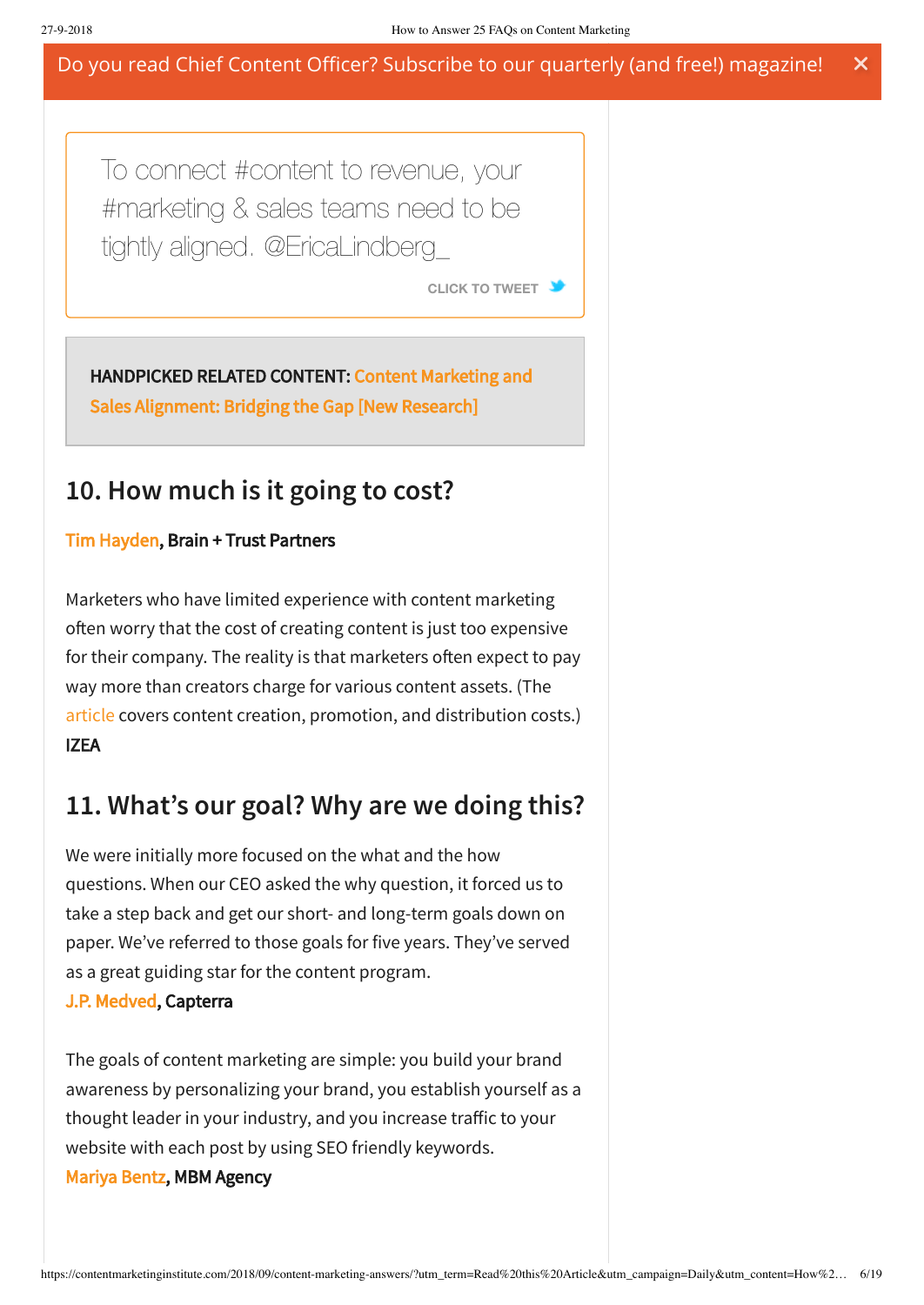To connect #content to revenue, your #marketing & sales teams need to be tightly aligned. [@EricaLindberg\\_](https://twitter.com/intent/tweet?url=https://contentmarketinginstitute.com/2018/09/content-marketing-answers/&text=To%20connect%20%23content%20to%20revenue%2C%20your%20%23marketing%20%26%20sales%20teams%20need%20to%20be%20tightly%20aligned.%20%40EricaLindberg_&related)

**CLICK TO [TWEET](https://twitter.com/intent/tweet?url=https://contentmarketinginstitute.com/2018/09/content-marketing-answers/&text=To%20connect%20%23content%20to%20revenue%2C%20your%20%23marketing%20%26%20sales%20teams%20need%20to%20be%20tightly%20aligned.%20%40EricaLindberg_&related)**

[HANDPICKED RELATED CONTENT: Content Marketing and](https://contentmarketinginstitute.com/2018/05/marketing-sales-alignment-research/) Sales Alignment: Bridging the Gap [New Research]

### **10. How much is it going to cost?**

### [Tim Hayden,](http://schedule.contentmarketingworld.com/speaker/hayden-tim/49502) Brain + Trust Partners

Marketers who have limited experience with content marketing often worry that the cost of creating content is just too expensive for their company. The reality is that marketers often expect to pay way more than creators charge for various content assets. (The [article](https://izea.com/2017/10/31/content-marketing-costs/) covers content creation, promotion, and distribution costs.) IZEA

### **11. What's our goal? Why are we doing this?**

We were initially more focused on the what and the how questions. When our CEO asked the why question, it forced us to take a step back and get our short- and long-term goals down on paper. We've referred to those goals for five years. They've served as a great guiding star for the content program.

### [J.P. Medved](http://schedule.contentmarketingworld.com/speaker/medved-j-p-/48514), Capterra

The goals of content marketing are simple: you build your brand awareness by personalizing your brand, you establish yourself as a thought leader in your industry, and you increase traffic to your website with each post by using SEO friendly keywords.

### [Mariya Bentz,](https://twitter.com/mariyabentz) MBM Agency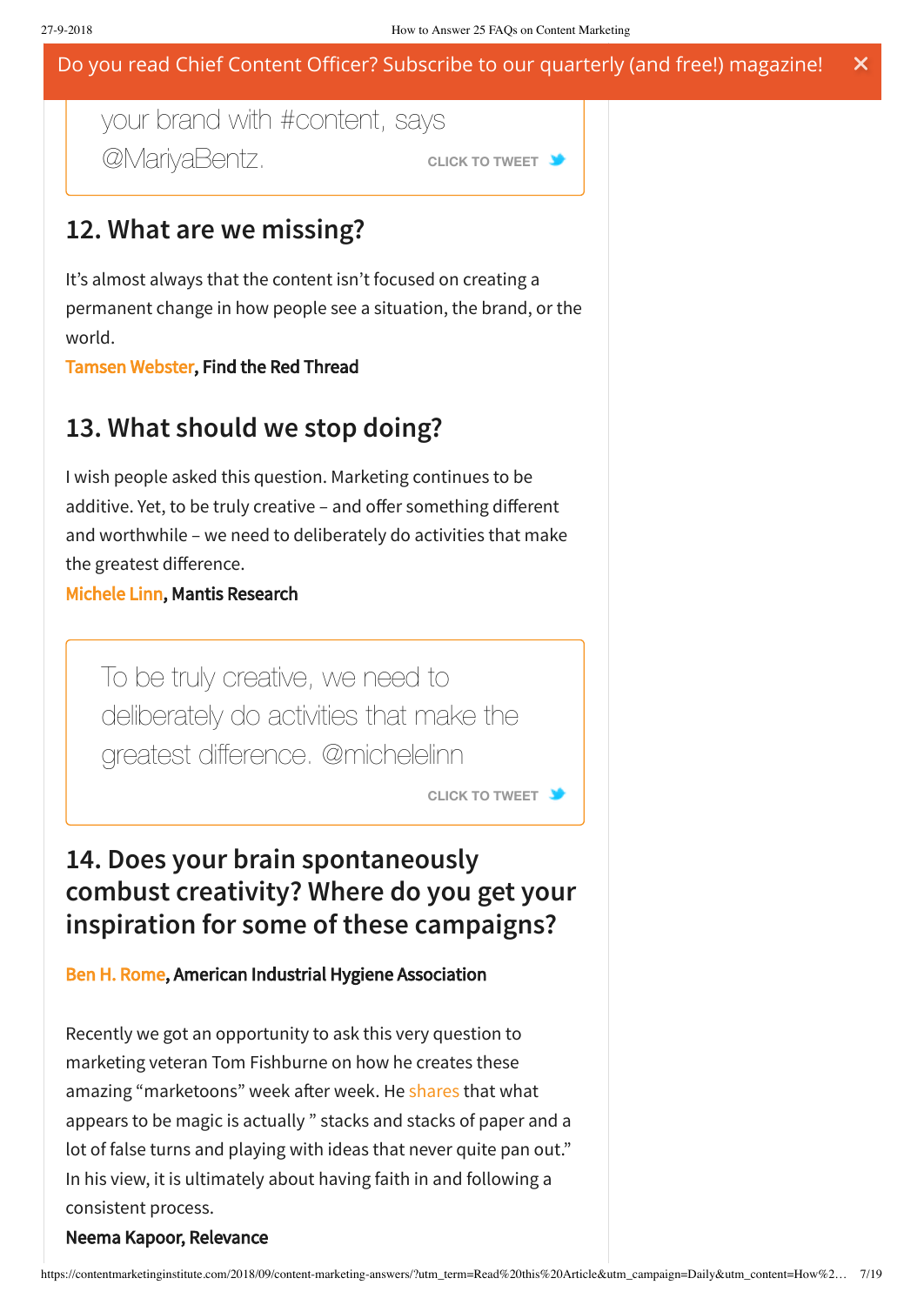#### build brand and a brand and property to build Do you read Chief Content Officer? Subscribe to our quarterly (and free!) magazine!  $\boldsymbol{\mathsf{x}}$

## your brand with #content, says **@MarivaBentz. CLICK TO [TWEET](https://twitter.com/intent/tweet?url=https://contentmarketinginstitute.com/2018/09/content-marketing-answers/&text=Build%20brand%20awareness%20by%20personalizing%20your%20brand%20with%20%23content%2C%20says%20%40MariyaBentz.&related)**

### **12. What are we missing?**

It's almost always that the content isn't focused on creating a permanent change in how people see a situation, the brand, or the world.

[Tamsen Webster,](http://schedule.contentmarketingworld.com/speaker/webster-tamsen/49344) Find the Red Thread

## **13. What should we stop doing?**

I wish people asked this question. Marketing continues to be additive. Yet, to be truly creative – and offer something different and worthwhile – we need to deliberately do activities that make the greatest difference.

[Michele Linn](http://schedule.contentmarketingworld.com/speaker/linn-michele/48691), Mantis Research

To be truly creative, we need to deliberately do activities that make the greatest difference. [@michelelinn](https://twitter.com/intent/tweet?url=https://contentmarketinginstitute.com/2018/09/content-marketing-answers/&text=To%20be%20truly%20creative%2C%20we%20need%20to%20deliberately%20do%20activities%20that%20make%20the%20greatest%20difference.%20%40michelelinn&related)

**CLICK TO [TWEET](https://twitter.com/intent/tweet?url=https://contentmarketinginstitute.com/2018/09/content-marketing-answers/&text=To%20be%20truly%20creative%2C%20we%20need%20to%20deliberately%20do%20activities%20that%20make%20the%20greatest%20difference.%20%40michelelinn&related)**

## **14. Does your brain spontaneously combust creativity? Where do you get your inspiration for some of these campaigns?**

### [Ben H. Rome,](https://twitter.com/bhrome) American Industrial Hygiene Association

Recently we got an opportunity to ask this very question to marketing veteran Tom Fishburne on how he creates these amazing "marketoons" week after week. He [shares](https://disq.us/url?url=https%3A%2F%2Fwww.relevance.com%2Fmarketing-genius-creative-intellectual-or-a-maverick-philosopher-relevance-interviews-tom-fishburne%2F%3AtppXj-8T9whPhLI5qb1c159buR8&cuid=369723) that what appears to be magic is actually " stacks and stacks of paper and a lot of false turns and playing with ideas that never quite pan out." In his view, it is ultimately about having faith in and following a consistent process.

#### Neema Kapoor, Relevance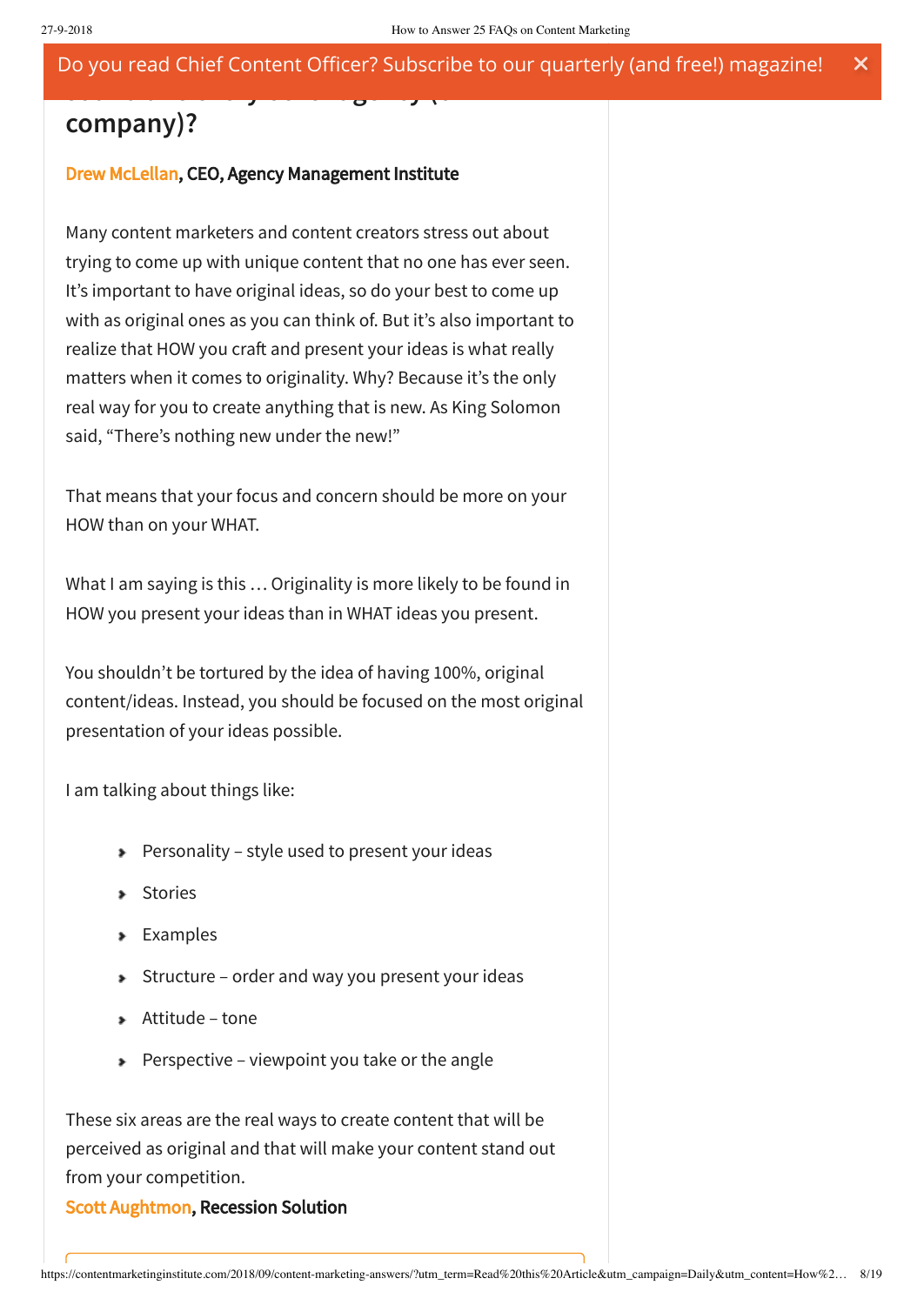## **company)?**

### [Drew McLellan](http://schedule.contentmarketingworld.com/speaker/mclellan-drew/49495), CEO, Agency Management Institute

**sound like every other agency (or**

Many content marketers and content creators stress out about trying to come up with unique content that no one has ever seen. It's important to have original ideas, so do your best to come up with as original ones as you can think of. But it's also important to realize that HOW you craft and present your ideas is what really matters when it comes to originality. Why? Because it's the only real way for you to create anything that is new. As King Solomon said, "There's nothing new under the new!"

That means that your focus and concern should be more on your HOW than on your WHAT.

What I am saying is this … Originality is more likely to be found in HOW you present your ideas than in WHAT ideas you present.

You shouldn't be tortured by the idea of having 100%, original content/ideas. Instead, you should be focused on the most original presentation of your ideas possible.

I am talking about things like:

- Personality style used to present your ideas
- **Stories**
- **Examples**
- Structure order and way you present your ideas
- Attitude tone
- Perspective viewpoint you take or the angle

These six areas are the real ways to create content that will be perceived as original and that will make your content stand out from your competition.

[Scott Aughtmon](https://twitter.com/rampbusinesses), Recession Solution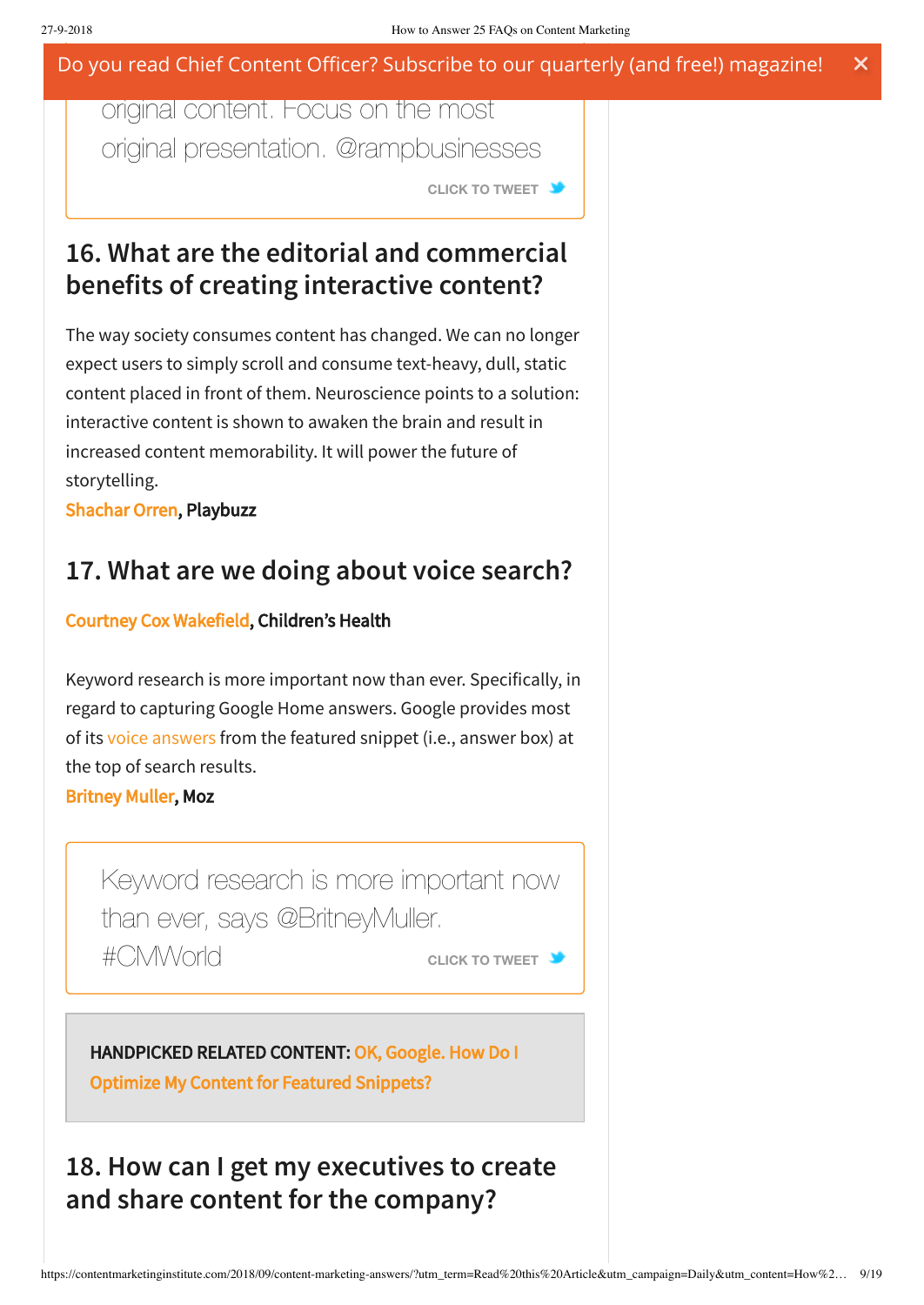original content. Focus on the most original presentation. @rampbusinesses

**CLICK TO [TWEET](https://twitter.com/intent/tweet?url=https://contentmarketinginstitute.com/2018/09/content-marketing-answers/&text=Don%E2%80%99t%20be%20tortured%20by%20needing%20100%25%20original%20content.%20Focus%20on%20the%20most%20original%20presentation.%20%40rampbusinesses&related)**

## **16. What are the editorial and commercial benefits of creating interactive content?**

The way society consumes content has changed. We can no longer expect users to simply scroll and consume text-heavy, dull, static content placed in front of them. Neuroscience points to a solution: interactive content is shown to awaken the brain and result in increased content memorability. It will power the future of storytelling.

[Shachar Orren,](http://schedule.contentmarketingworld.com/speaker/orren-shachar/48507) Playbuzz

## **17. What are we doing about voice search?**

### [Courtney Cox Wakefield,](http://schedule.contentmarketingworld.com/speaker/cox-courtney/48737) Children's Health

Keyword research is more important now than ever. Specifically, in regard to capturing Google Home answers. Google provides most of its voice [answers](https://contentmarketinginstitute.com/2018/01/voice-search-content/) from the featured snippet (i.e., answer box) at the top of search results.

[Britney Muller](https://twitter.com/BritneyMuller), Moz

Keyword research is [more important](https://twitter.com/intent/tweet?url=https://contentmarketinginstitute.com/2018/09/content-marketing-answers/&text=Keyword%20research%20is%20more%20important%20now%20than%20ever%2C%20says%20%40BritneyMuller.%20%23CMWorld&related) now than ever, says @BritneyMuller. #CMWorld **CLICK TO [TWEET](https://twitter.com/intent/tweet?url=https://contentmarketinginstitute.com/2018/09/content-marketing-answers/&text=Keyword%20research%20is%20more%20important%20now%20than%20ever%2C%20says%20%40BritneyMuller.%20%23CMWorld&related)**

### [HANDPICKED RELATED CONTENT: OK, Google. How Do I](https://contentmarketinginstitute.com/2018/08/content-featured-snippets/) Optimize My Content for Featured Snippets?

## **18. How can I get my executives to create and share content for the company?**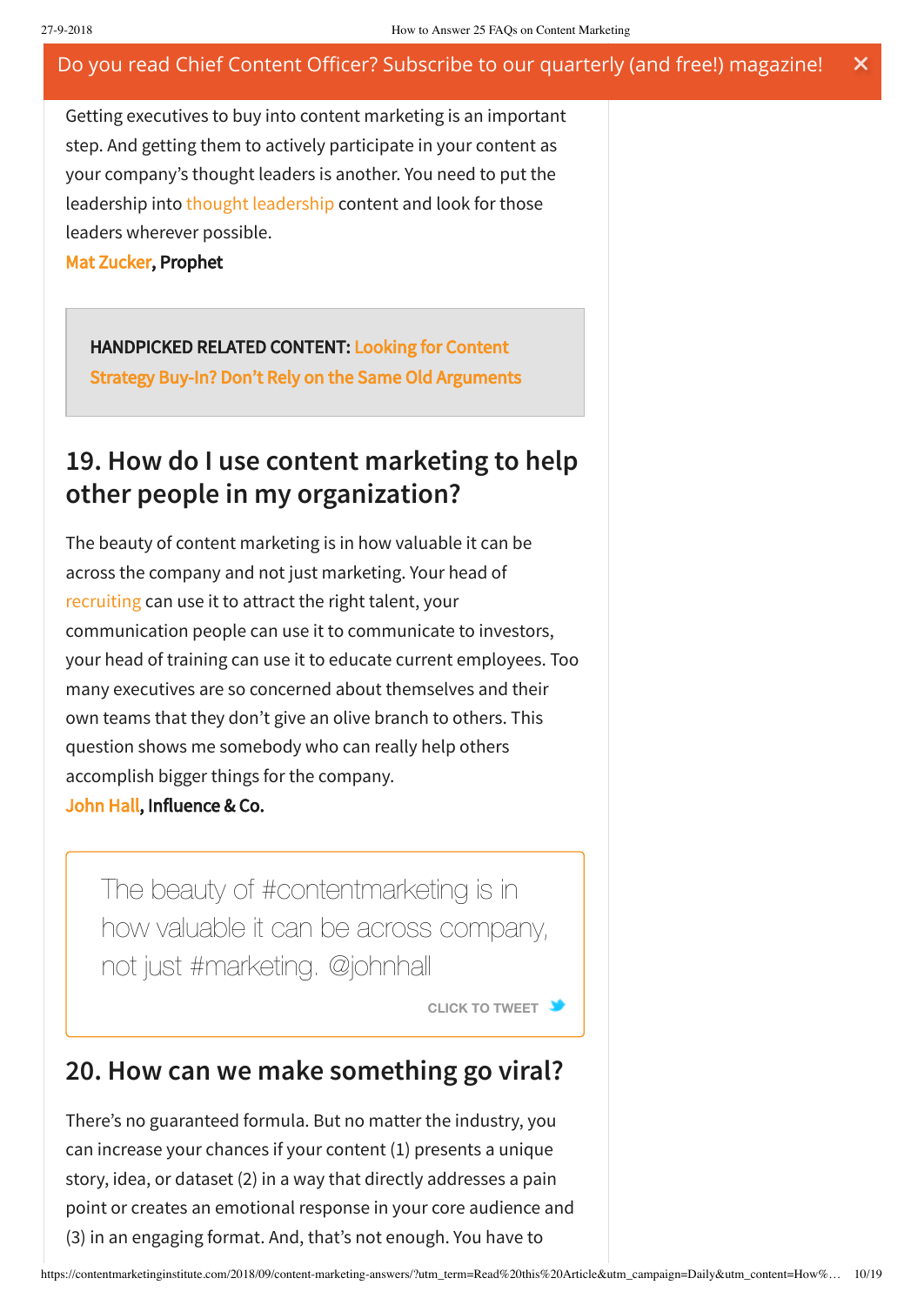Getting executives to buy into content marketing is an important step. And getting them to actively participate in your content as your company's thought leaders is another. You need to put the leadership into thought [leadership](https://contentmarketinginstitute.com/2018/07/thought-leadership/) content and look for those leaders wherever possible.

[Mat Zucker,](https://twitter.com/matzucker) Prophet

HANDPICKED RELATED CONTENT: Looking for Content [Strategy Buy-In? Don't Rely on the Same Old Arguments](https://contentmarketinginstitute.com/2017/11/looking-content-strategy-buy-dont-rely-old-arguments/)

### **19. How do I use content marketing to help other people in my organization?**

The beauty of content marketing is in how valuable it can be across the company and not just marketing. Your head of [recruiting](https://contentmarketinginstitute.com/2014/12/content-marketing-recruiting-tool/) can use it to attract the right talent, your communication people can use it to communicate to investors, your head of training can use it to educate current employees. Too many executives are so concerned about themselves and their own teams that they don't give an olive branch to others. This question shows me somebody who can really help others accomplish bigger things for the company. [John Hall,](http://schedule.contentmarketingworld.com/speaker/hall-john/49164) Influence & Co.

The beauty of [#contentmarketing](https://twitter.com/intent/tweet?url=https://contentmarketinginstitute.com/2018/09/content-marketing-answers/&text=The%20beauty%20of%20%23contentmarketing%20is%20in%20how%20valuable%20it%20can%20be%20across%20company%2C%20not%20just%20%23marketing.%20%40johnhall&related) is in how valuable it can be across company, not just #marketing. @johnhall

**CLICK TO [TWEET](https://twitter.com/intent/tweet?url=https://contentmarketinginstitute.com/2018/09/content-marketing-answers/&text=The%20beauty%20of%20%23contentmarketing%20is%20in%20how%20valuable%20it%20can%20be%20across%20company%2C%20not%20just%20%23marketing.%20%40johnhall&related)**

### **20. How can we make something go viral?**

There's no guaranteed formula. But no matter the industry, you can increase your chances if your content (1) presents a unique story, idea, or dataset (2) in a way that directly addresses a pain point or creates an emotional response in your core audience and (3) in an engaging format. And, that's not enough. You have to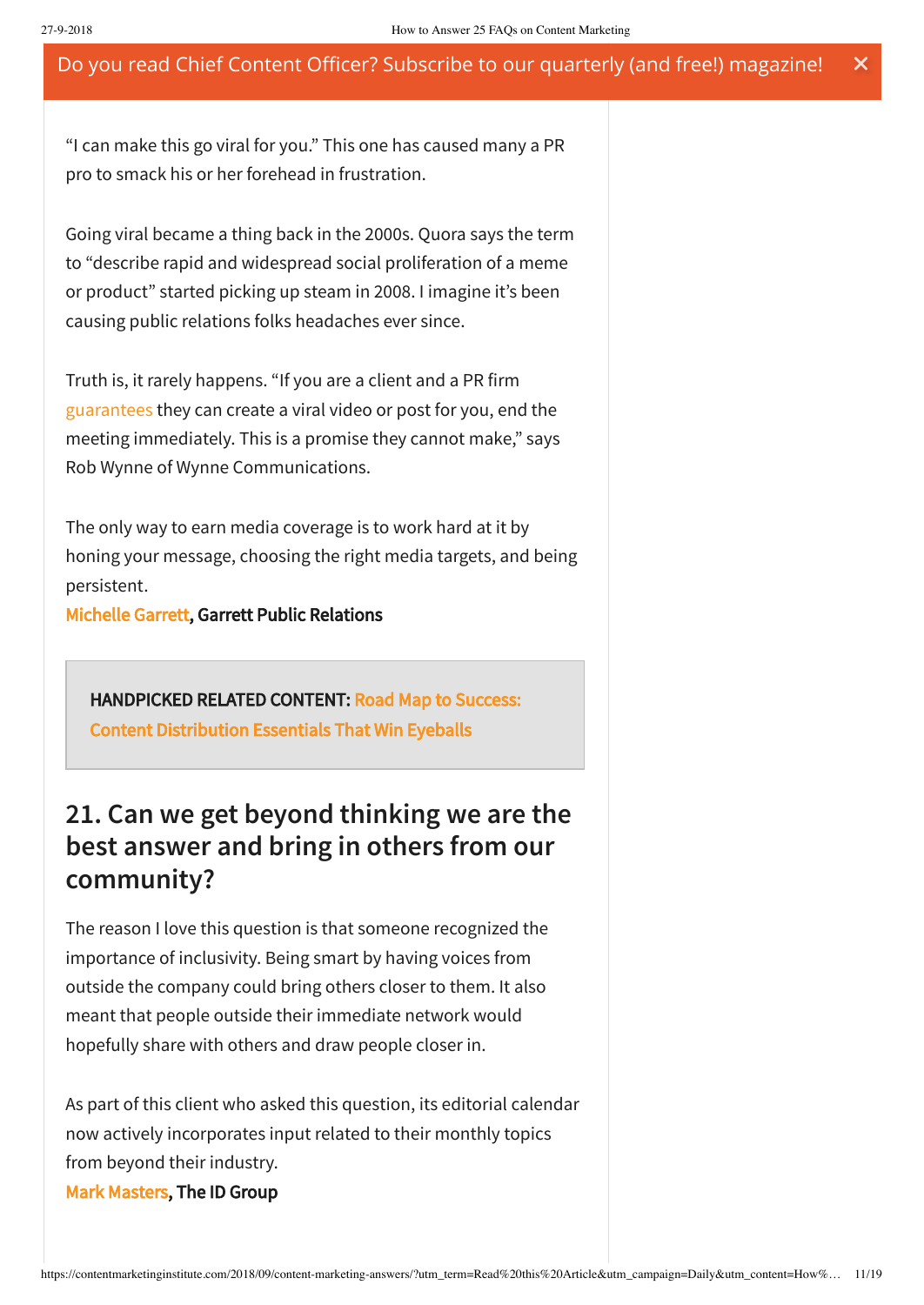"I can make this go viral for you." This one has caused many a PR pro to smack his or her forehead in frustration.

Going viral became a thing back in the 2000s. Quora says the term to "describe rapid and widespread social proliferation of a meme or product" started picking up steam in 2008. I imagine it's been causing public relations folks headaches ever since.

Truth is, it rarely happens. "If you are a client and a PR firm [guarantees](http://michellegarrett.com/2018/05/30/5-things-you-should-never-hear-a-pr-person-say/) they can create a viral video or post for you, end the meeting immediately. This is a promise they cannot make," says Rob Wynne of Wynne Communications.

The only way to earn media coverage is to work hard at it by honing your message, choosing the right media targets, and being persistent.

[Michelle Garrett](https://twitter.com/PRisUs), Garrett Public Relations

[HANDPICKED RELATED CONTENT: Road Map to Success:](https://contentmarketinginstitute.com/2018/04/content-distribution-essentials/) Content Distribution Essentials That Win Eyeballs

## **21. Can we get beyond thinking we are the best answer and bring in others from our community?**

The reason I love this question is that someone recognized the importance of inclusivity. Being smart by having voices from outside the company could bring others closer to them. It also meant that people outside their immediate network would hopefully share with others and draw people closer in.

As part of this client who asked this question, its editorial calendar now actively incorporates input related to their monthly topics from beyond their industry.

[Mark Masters](https://twitter.com/markiemasters), The ID Group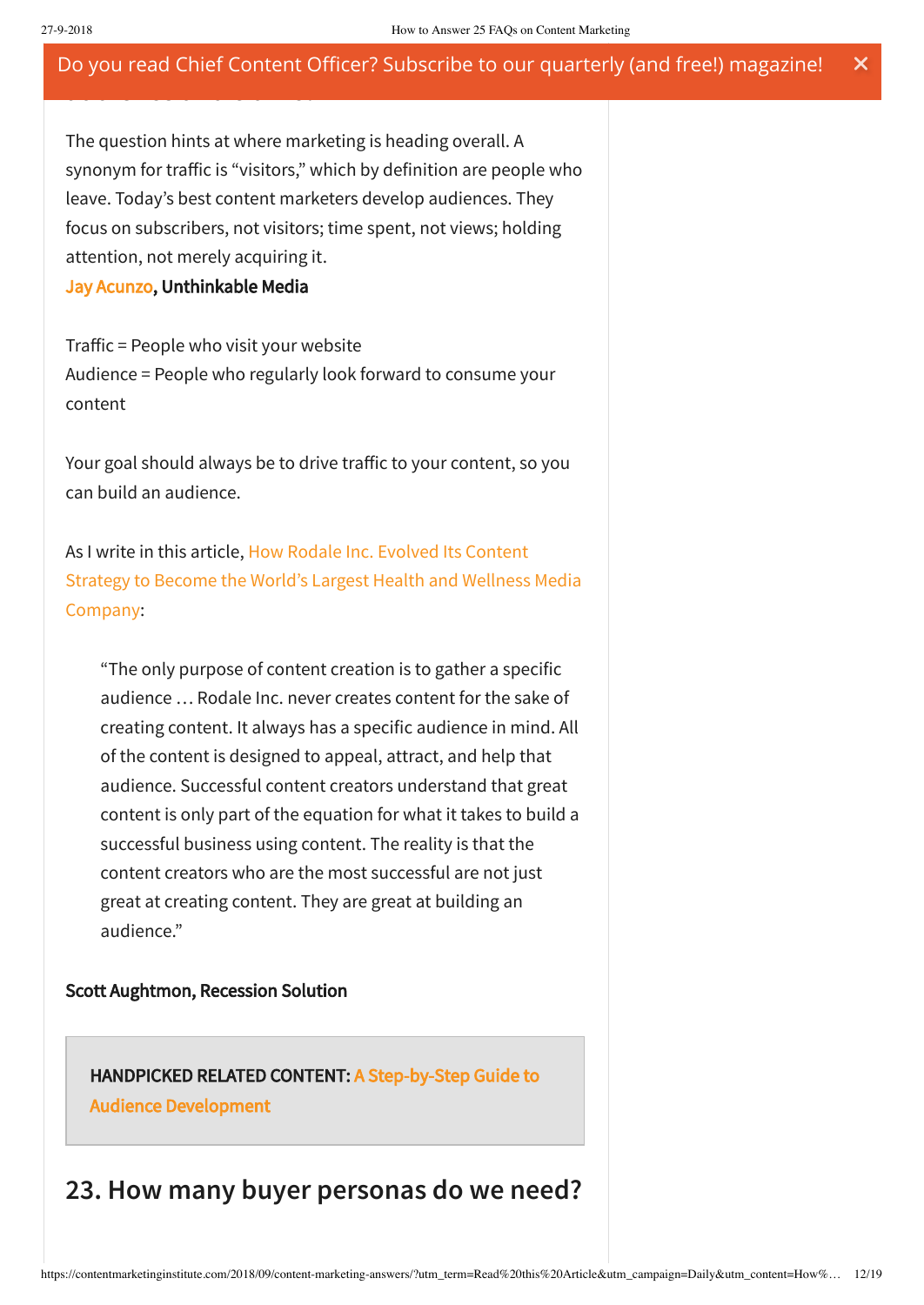The question hints at where marketing is heading overall. A synonym for traffic is "visitors," which by definition are people who leave. Today's best content marketers develop audiences. They focus on subscribers, not visitors; time spent, not views; holding attention, not merely acquiring it.

### [Jay Acunzo](http://schedule.contentmarketingworld.com/speaker/acunzo-jay/49463), Unthinkable Media

**audience and traffic?**

Traffic = People who visit your website Audience = People who regularly look forward to consume your content

Your goal should always be to drive traffic to your content, so you can build an audience.

As I write in this article, How Rodale Inc. Evolved Its Content [Strategy to](https://disq.us/url?url=https%3A%2F%2Fcontentmarketinginstitute.com%2F2015%2F07%2Fhow-rodale-content-strategy%2F%3AoT2tdrIWl_Mqp35ev8YX8Xstywo&cuid=369723) Become the World's Largest Health and Wellness Media Company:

"The only purpose of content creation is to gather a specific audience … Rodale Inc. never creates content for the sake of creating content. It always has a specific audience in mind. All of the content is designed to appeal, attract, and help that audience. Successful content creators understand that great content is only part of the equation for what it takes to build a successful business using content. The reality is that the content creators who are the most successful are not just great at creating content. They are great at building an audience."

#### Scott Aughtmon, Recession Solution

[HANDPICKED RELATED CONTENT: A Step-by-Step Guide to](https://contentmarketinginstitute.com/2018/03/guide-audience-development/) Audience Development

### **23. How many buyer personas do we need?**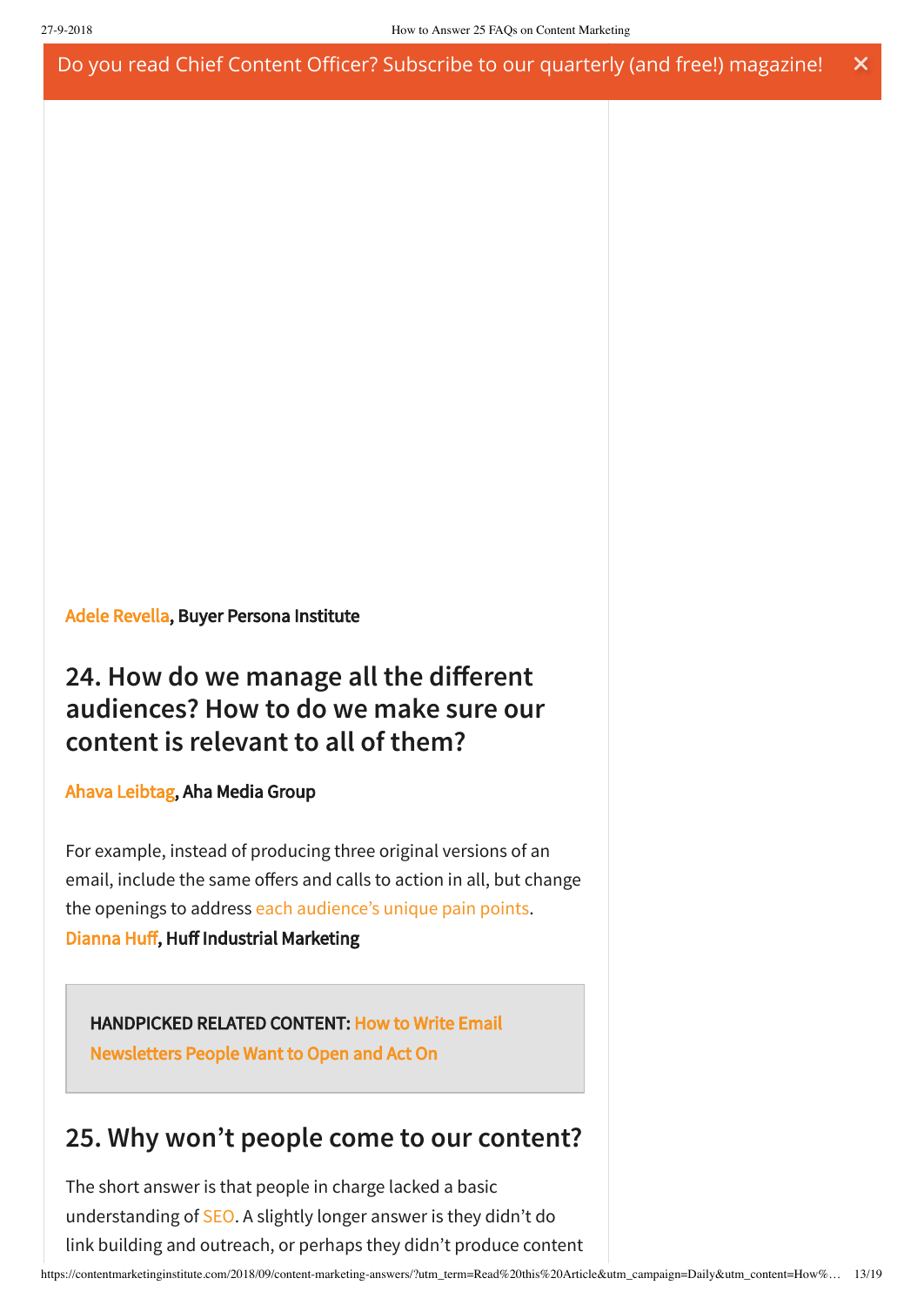#### [Adele Revella](http://schedule.contentmarketingworld.com/speaker/revella-adele/49879), Buyer Persona Institute

## **24. How do we manage all the different audiences? How to do we make sure our content is relevant to all of them?**

### [Ahava Leibtag,](http://schedule.contentmarketingworld.com/speaker/leibtag-ahava/48752) Aha Media Group

For example, instead of producing three original versions of an email, include the same offers and calls to action in all, but change the openings to address each [audience's](https://contentmarketinginstitute.com/2010/08/content-for-multiple-audiences/) unique pain points. [Dianna Huff](https://twitter.com/diannahuff), Huff Industrial Marketing

### [HANDPICKED RELATED CONTENT: How to Write Email](https://contentmarketinginstitute.com/2017/06/how-write-email-newsletters/) Newsletters People Want to Open and Act On

## **25. Why won't people come to our content?**

The short answer is that people in charge lacked a basic understanding of [SEO](https://contentmarketinginstitute.com/2018/01/seo-marketing-strategy/). A slightly longer answer is they didn't do link building and outreach, or perhaps they didn't produce content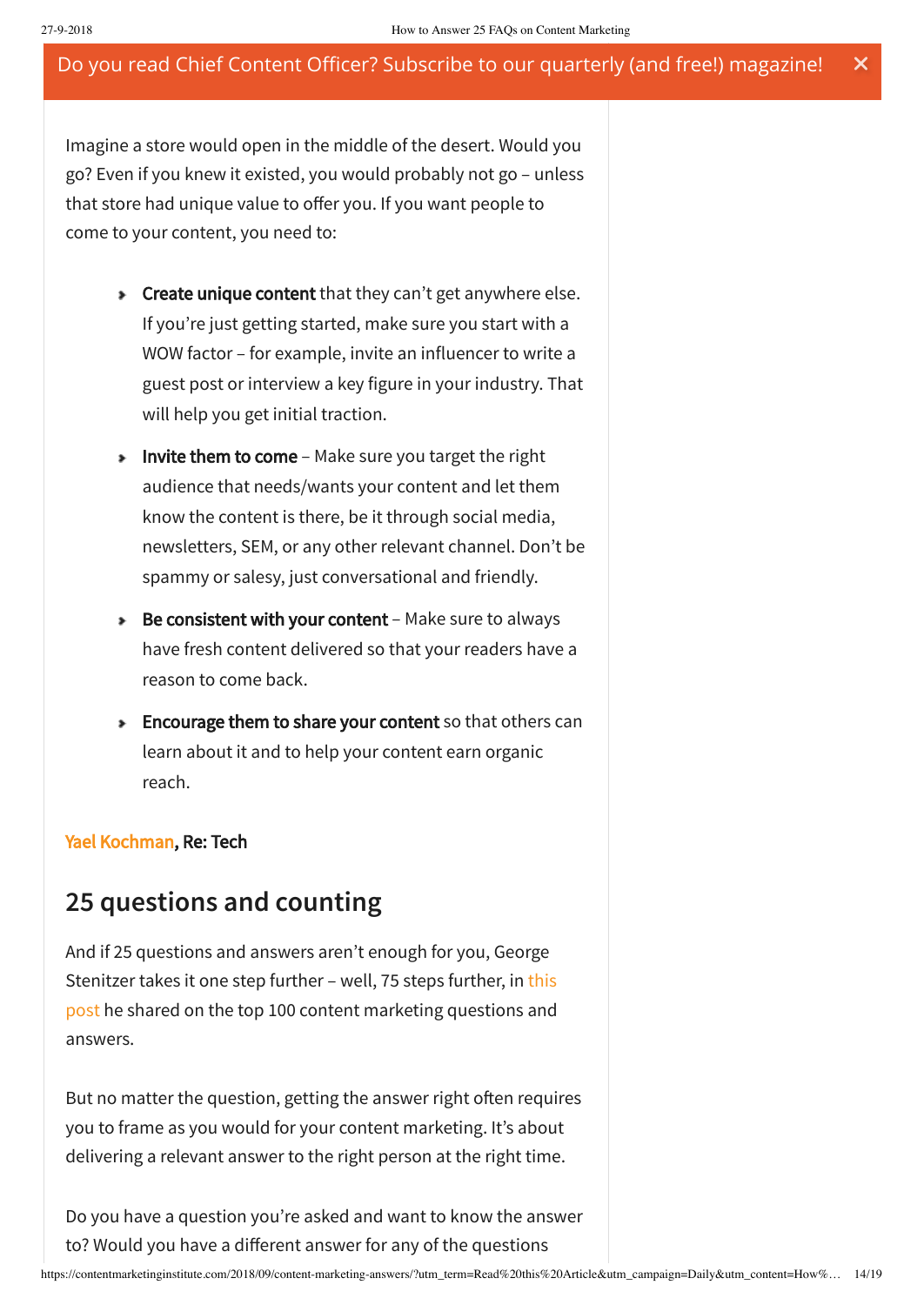Imagine a store would open in the middle of the desert. Would you go? Even if you knew it existed, you would probably not go – unless that store had unique value to offer you. If you want people to come to your content, you need to:

- **Figure 2** Create unique content that they can't get anywhere else. If you're just getting started, make sure you start with a WOW factor – for example, invite an influencer to write a guest post or interview a key figure in your industry. That will help you get initial traction.
- **Invite them to come** Make sure you target the right audience that needs/wants your content and let them know the content is there, be it through social media, newsletters, SEM, or any other relevant channel. Don't be spammy or salesy, just conversational and friendly.
- ▶ Be consistent with your content Make sure to always have fresh content delivered so that your readers have a reason to come back.
- **Encourage them to share your content** so that others can learn about it and to help your content earn organic reach.

### [Yael Kochman](https://twitter.com/Yaelkochman), Re: Tech

### **25 questions and counting**

And if 25 questions and answers aren't enough for you, George Stenitzer takes it one step further – well, 75 steps further, in this post he shared on the top 100 content [marketing](https://crystalclearcomms.com/top-100-questions/) questions and answers.

But no matter the question, getting the answer right often requires you to frame as you would for your content marketing. It's about delivering a relevant answer to the right person at the right time.

Do you have a question you're asked and want to know the answer to? Would you have a different answer for any of the questions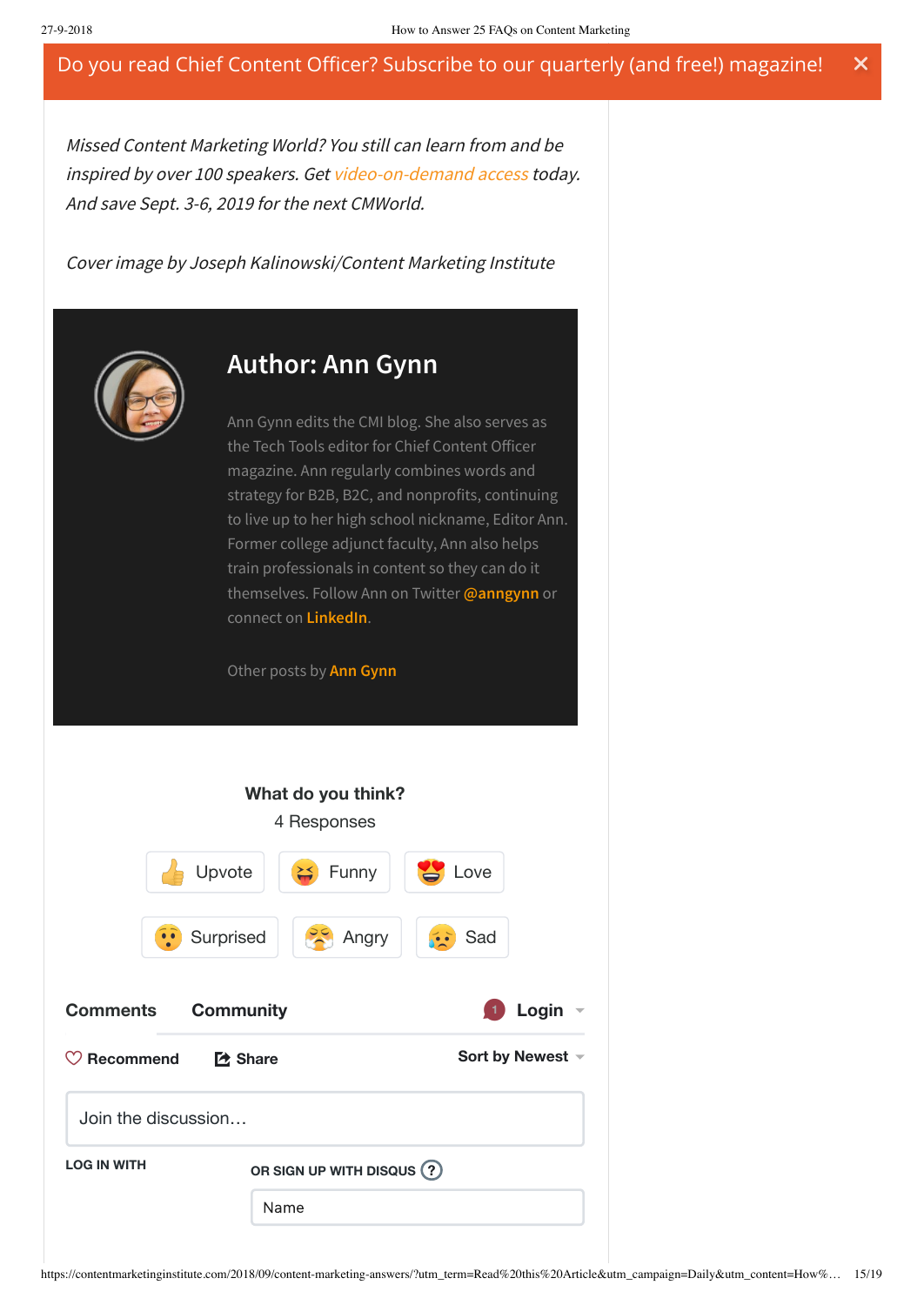Missed Content Marketing World? You still can learn from and be inspired by over 100 speakers. Get [video-on-demand](http://cmi.media/video18) access today. And save Sept. 3-6, 2019 for the next CMWorld.

Cover image by Joseph Kalinowski/Content Marketing Institute

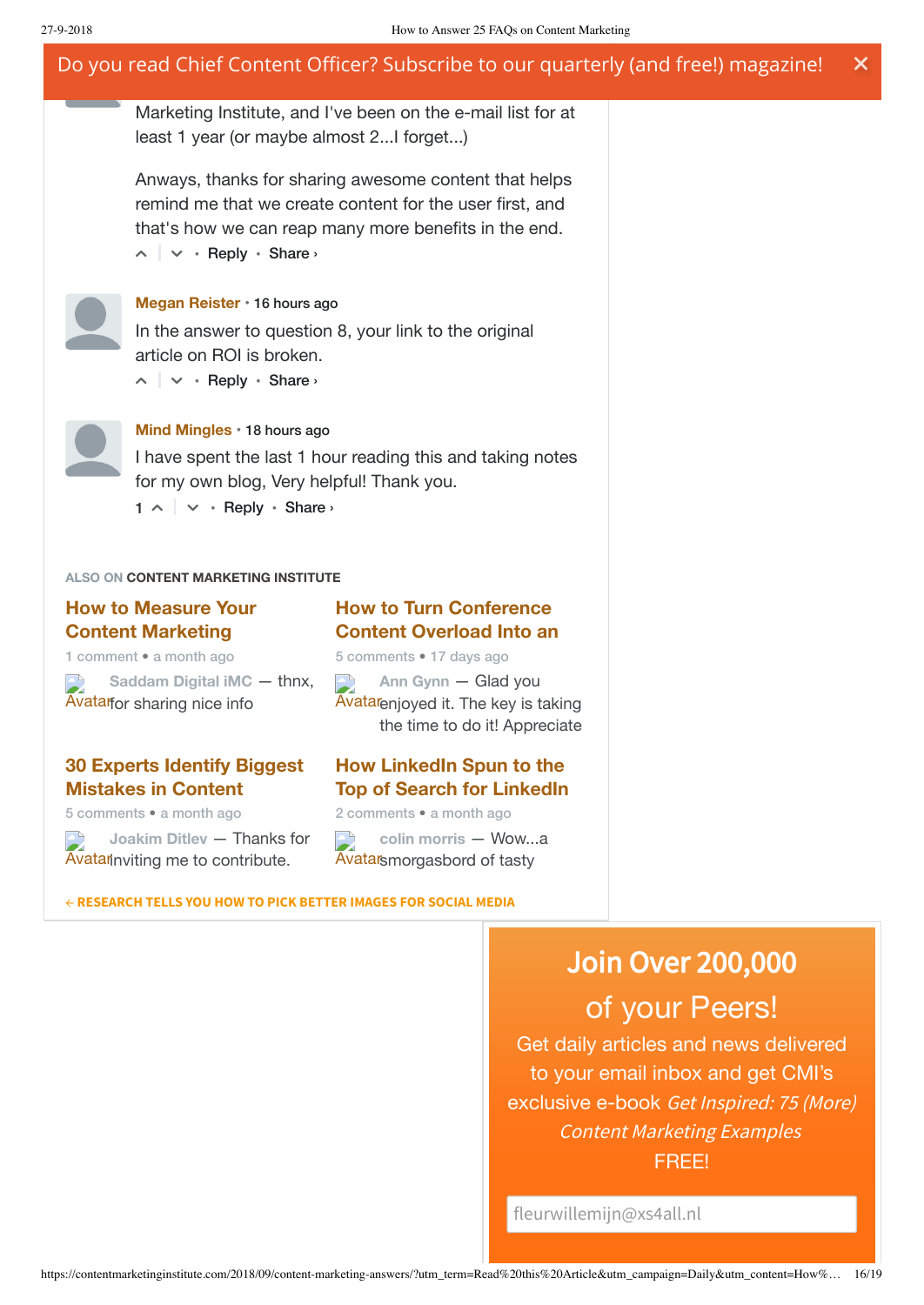Marketing Institute, and I've been on the e-mail list for at least 1 year (or maybe almost 2...I forget...)

 $\sim$   $\vert \vee \cdot \text{Reply} \cdot \text{Share} \rangle$ Anways, thanks for sharing awesome content that helps remind me that we create content for the user first, and that's how we can reap many more benefits in the end.



#### **Megan [Reister](https://disqus.com/by/meganreister/)** • 16 [hours](https://contentmarketinginstitute.com/2018/09/content-marketing-answers/?utm_term=Read%20this%20Article&utm_campaign=Daily&utm_content=How%20Content%20Marketing%20Can%20Save%20Your%20Digital%20Marketing%20Strategy&utm_source=Act-On+Software&utm_medium=email#comment-4115154060) ago

In the answer to question 8, your link to the original article on ROI is broken.

 $\sim$   $\vert \vee \cdot \text{Reply} \cdot \text{Share} \rangle$ 



**Mind [Mingles](https://disqus.com/by/mind_mingles/)** • 18 [hours](https://contentmarketinginstitute.com/2018/09/content-marketing-answers/?utm_term=Read%20this%20Article&utm_campaign=Daily&utm_content=How%20Content%20Marketing%20Can%20Save%20Your%20Digital%20Marketing%20Strategy&utm_source=Act-On+Software&utm_medium=email#comment-4114973561) ago

 $1 \wedge \cdots$  Reply • Share › I have spent the last 1 hour reading this and taking notes for my own blog, Very helpful! Thank you.

#### **ALSO ON CONTENT MARKETING INSTITUTE**

### **How to Measure Your Content [Marketing](https://disq.us/?url=https%3A%2F%2Fcontentmarketinginstitute.com%2F%3Fp%3D81276&key=3a1NUHDson6SfVgiaMfc1w)**

1 comment • a month ago

Avatar for sharing nice info **[Saddam Digital](https://disq.us/?url=https%3A%2F%2Fcontentmarketinginstitute.com%2F%3Fp%3D81276&key=3a1NUHDson6SfVgiaMfc1w) iMC** — thnx,

### **30 Experts Identify Biggest [Mistakes](https://disq.us/?url=https%3A%2F%2Fcontentmarketinginstitute.com%2F%3Fp%3D81162&key=lX3r4jsfF54LQW0qqKbJDA) in Content**

5 comments • a month ago

Avatannviting me to contribute. **[Joakim Ditlev](https://disq.us/?url=https%3A%2F%2Fcontentmarketinginstitute.com%2F%3Fp%3D81162&key=lX3r4jsfF54LQW0qqKbJDA)** — Thanks for

### **How to Turn [Conference](https://disq.us/?url=https%3A%2F%2Fcontentmarketinginstitute.com%2F2018%2F09%2Fconference-action-plan%2F&key=yhxPb1o3jZ_3XQz7MnDqJw) Content Overload Into an**

5 comments • 17 days ago

 $\begin{array}{c} \begin{array}{c} \hline \end{array} \end{array}$ **Ann Gynn** — Glad you Avatar enjoyed it. The [key is taking](https://disq.us/?url=https%3A%2F%2Fcontentmarketinginstitute.com%2F2018%2F09%2Fconference-action-plan%2F&key=yhxPb1o3jZ_3XQz7MnDqJw) the time to do it! Appreciate

### **How LinkedIn Spun to the Top of Search for LinkedIn**

2 comments • a month ago

Avatar[smorgasbord](https://disq.us/?url=https%3A%2F%2Fcontentmarketinginstitute.com%2F%3Fp%3D81247&key=YKUWhT21uIa5EvOfdmHMjw) of tasty **colin morris** — Wow...a

#### ← **[RESEARCH](https://contentmarketinginstitute.com/2018/09/research-images-social/) TELLS YOU HOW TO PICK BETTER IMAGES FOR SOCIAL MEDIA**

# Join Over 200,000

## of your Peers!

Get daily articles and news delivered to your email inbox and get CMI's exclusive e-book Get Inspired: <sup>75</sup> (More) Content Marketing Examples FREE!

fleurwillemijn@xs4all.nl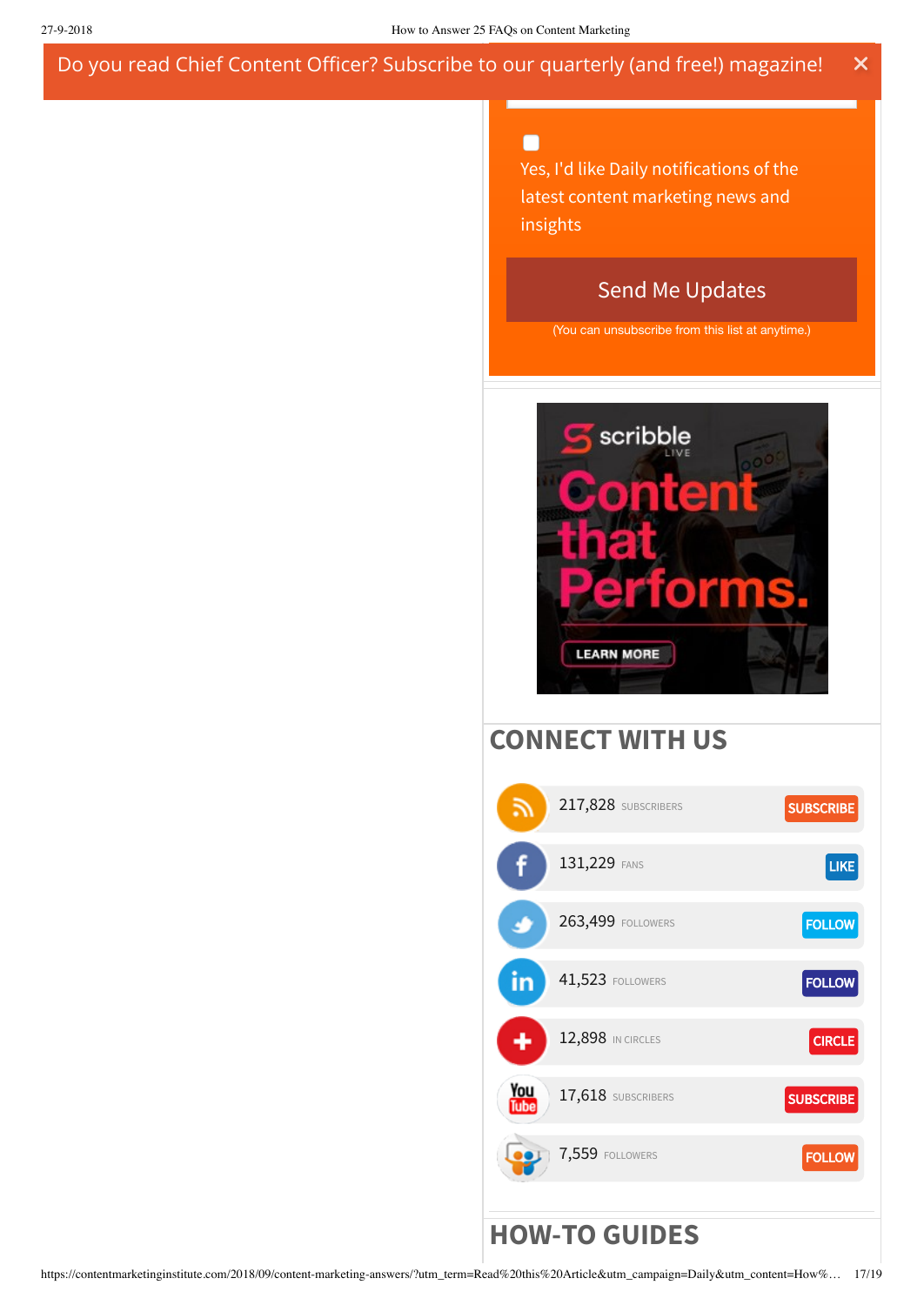#### п

Yes, I'd like Daily notifications of the latest content marketing news and insights

### Send Me Updates

(You can unsubscribe from this list at anytime.)



## **CONNECT WITH US**

| ふ           | 217,828 SUBSCRIBERS     | <b>SUBSCRIBE</b> |
|-------------|-------------------------|------------------|
| f           | 131,229 FANS            | LIKE             |
|             | 263,499 FOLLOWERS       | <b>FOLLOW</b>    |
| in          | <b>41,523 FOLLOWERS</b> | <b>FOLLOW</b>    |
|             | 12,898 IN CIRCLES       | <b>CIRCLE</b>    |
| You<br>Tube | 17,618 SUBSCRIBERS      | <b>SUBSCRIBE</b> |
|             | 7,559 FOLLOWERS         | <b>FOLLOW</b>    |
|             | <b>HOW-TO GUIDES</b>    |                  |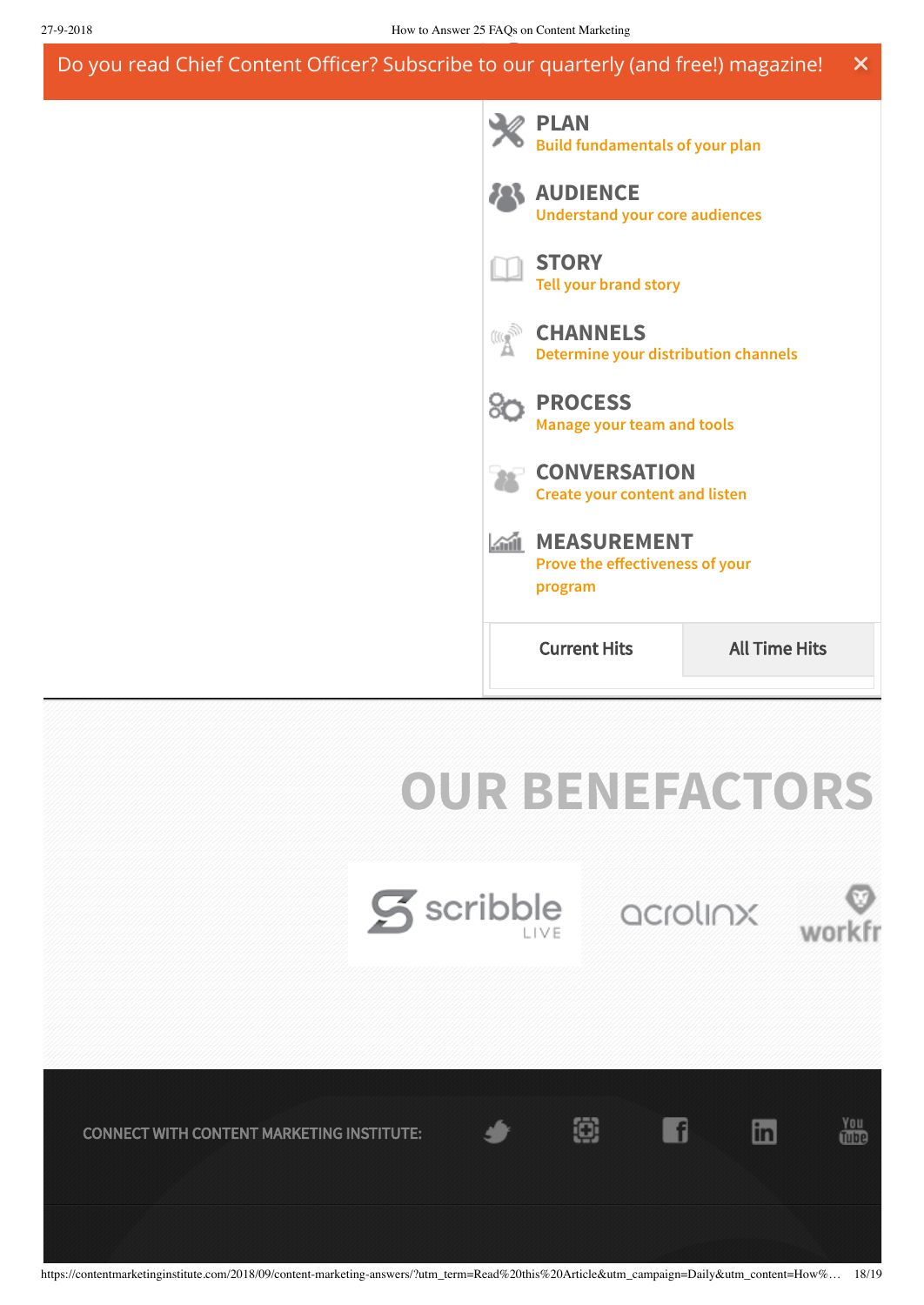#### **GETTING STARTED** Do you read Chief Content Officer? Subscribe t[o our quarterly \(and free!\) magazin](http://contentmarketinginstitute.com/getting-started/)e!  $\overline{\mathsf{x}}$